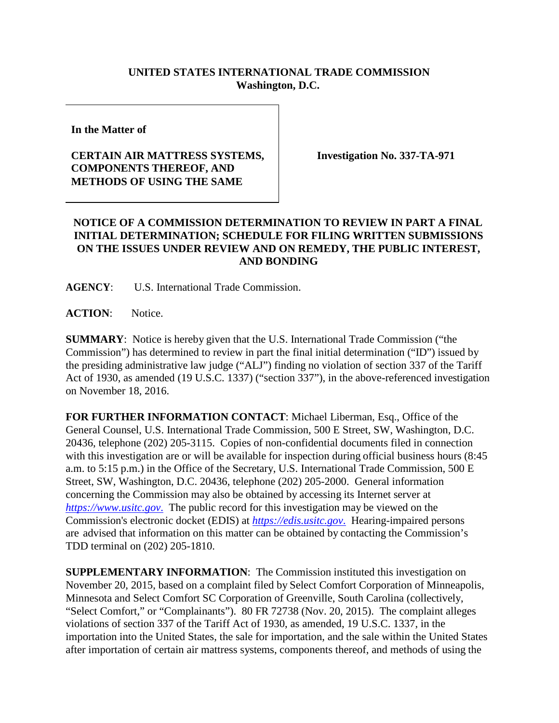### **UNITED STATES INTERNATIONAL TRADE COMMISSION Washington, D.C.**

**In the Matter of**

# **CERTAIN AIR MATTRESS SYSTEMS, COMPONENTS THEREOF, AND METHODS OF USING THE SAME**

**Investigation No. 337-TA-971**

# **NOTICE OF A COMMISSION DETERMINATION TO REVIEW IN PART A FINAL INITIAL DETERMINATION; SCHEDULE FOR FILING WRITTEN SUBMISSIONS ON THE ISSUES UNDER REVIEW AND ON REMEDY, THE PUBLIC INTEREST, AND BONDING**

**AGENCY**: U.S. International Trade Commission.

**ACTION**: Notice.

**SUMMARY**: Notice is hereby given that the U.S. International Trade Commission ("the Commission") has determined to review in part the final initial determination ("ID") issued by the presiding administrative law judge ("ALJ") finding no violation of section 337 of the Tariff Act of 1930, as amended (19 U.S.C. 1337) ("section 337"), in the above-referenced investigation on November 18, 2016.

**FOR FURTHER INFORMATION CONTACT**: Michael Liberman, Esq., Office of the General Counsel, U.S. International Trade Commission, 500 E Street, SW, Washington, D.C. 20436, telephone (202) 205-3115. Copies of non-confidential documents filed in connection with this investigation are or will be available for inspection during official business hours (8:45 a.m. to 5:15 p.m.) in the Office of the Secretary, U.S. International Trade Commission, 500 E Street, SW, Washington, D.C. 20436, telephone (202) 205-2000. General information concerning the Commission may also be obtained by accessing its Internet server at *[https://www.usitc.gov](https://www.usitc.gov./)*. The public record for this investigation may be viewed on the Commission's electronic docket (EDIS) at *[https://edis.usitc.gov](https://edis.usitc.gov./)*. Hearing-impaired persons are advised that information on this matter can be obtained by contacting the Commission's TDD terminal on (202) 205-1810.

**SUPPLEMENTARY INFORMATION**: The Commission instituted this investigation on November 20, 2015, based on a complaint filed by Select Comfort Corporation of Minneapolis, Minnesota and Select Comfort SC Corporation of Greenville, South Carolina (collectively, "Select Comfort," or "Complainants"). 80 FR 72738 (Nov. 20, 2015). The complaint alleges violations of section 337 of the Tariff Act of 1930, as amended, 19 U.S.C. 1337, in the importation into the United States, the sale for importation, and the sale within the United States after importation of certain air mattress systems, components thereof, and methods of using the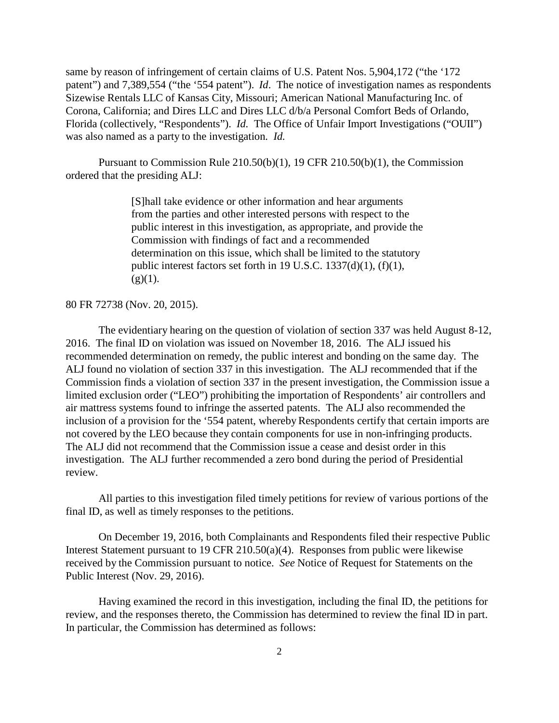same by reason of infringement of certain claims of U.S. Patent Nos. 5,904,172 ("the '172 patent") and 7,389,554 ("the '554 patent"). *Id*. The notice of investigation names as respondents Sizewise Rentals LLC of Kansas City, Missouri; American National Manufacturing Inc. of Corona, California; and Dires LLC and Dires LLC d/b/a Personal Comfort Beds of Orlando, Florida (collectively, "Respondents"). *Id.* The Office of Unfair Import Investigations ("OUII") was also named as a party to the investigation. *Id.*

Pursuant to Commission Rule 210.50(b)(1), 19 CFR 210.50(b)(1), the Commission ordered that the presiding ALJ:

> [S]hall take evidence or other information and hear arguments from the parties and other interested persons with respect to the public interest in this investigation, as appropriate, and provide the Commission with findings of fact and a recommended determination on this issue, which shall be limited to the statutory public interest factors set forth in 19 U.S.C. 1337(d)(1), (f)(1),  $(g)(1)$ .

80 FR 72738 (Nov. 20, 2015).

The evidentiary hearing on the question of violation of section 337 was held August 8-12, 2016. The final ID on violation was issued on November 18, 2016. The ALJ issued his recommended determination on remedy, the public interest and bonding on the same day. The ALJ found no violation of section 337 in this investigation. The ALJ recommended that if the Commission finds a violation of section 337 in the present investigation, the Commission issue a limited exclusion order ("LEO") prohibiting the importation of Respondents' air controllers and air mattress systems found to infringe the asserted patents. The ALJ also recommended the inclusion of a provision for the '554 patent, whereby Respondents certify that certain imports are not covered by the LEO because they contain components for use in non-infringing products. The ALJ did not recommend that the Commission issue a cease and desist order in this investigation. The ALJ further recommended a zero bond during the period of Presidential review.

All parties to this investigation filed timely petitions for review of various portions of the final ID, as well as timely responses to the petitions.

On December 19, 2016, both Complainants and Respondents filed their respective Public Interest Statement pursuant to 19 CFR 210.50(a)(4). Responses from public were likewise received by the Commission pursuant to notice. *See* Notice of Request for Statements on the Public Interest (Nov. 29, 2016).

Having examined the record in this investigation, including the final ID, the petitions for review, and the responses thereto, the Commission has determined to review the final ID in part. In particular, the Commission has determined as follows: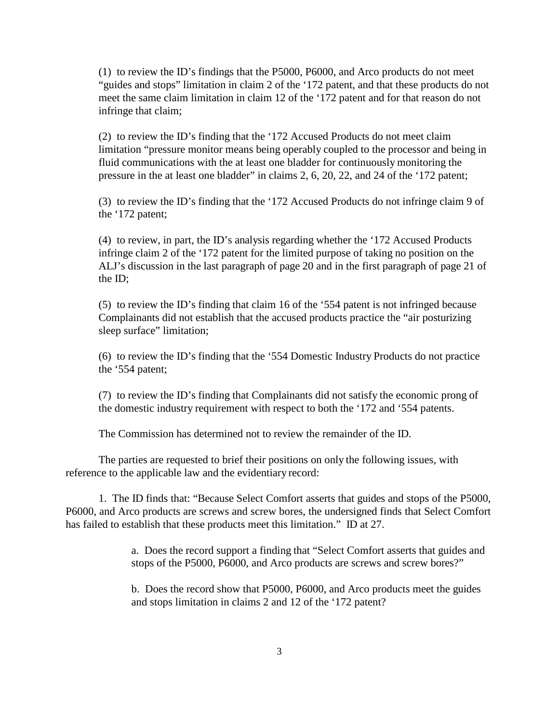(1) to review the ID's findings that the P5000, P6000, and Arco products do not meet "guides and stops" limitation in claim 2 of the '172 patent, and that these products do not meet the same claim limitation in claim 12 of the '172 patent and for that reason do not infringe that claim;

(2) to review the ID's finding that the '172 Accused Products do not meet claim limitation "pressure monitor means being operably coupled to the processor and being in fluid communications with the at least one bladder for continuously monitoring the pressure in the at least one bladder" in claims 2, 6, 20, 22, and 24 of the '172 patent;

(3) to review the ID's finding that the '172 Accused Products do not infringe claim 9 of the '172 patent;

(4) to review, in part, the ID's analysis regarding whether the '172 Accused Products infringe claim 2 of the '172 patent for the limited purpose of taking no position on the ALJ's discussion in the last paragraph of page 20 and in the first paragraph of page 21 of the ID;

(5) to review the ID's finding that claim 16 of the '554 patent is not infringed because Complainants did not establish that the accused products practice the "air posturizing sleep surface" limitation;

(6) to review the ID's finding that the '554 Domestic Industry Products do not practice the '554 patent;

(7) to review the ID's finding that Complainants did not satisfy the economic prong of the domestic industry requirement with respect to both the '172 and '554 patents.

The Commission has determined not to review the remainder of the ID.

The parties are requested to brief their positions on only the following issues, with reference to the applicable law and the evidentiary record:

1. The ID finds that: "Because Select Comfort asserts that guides and stops of the P5000, P6000, and Arco products are screws and screw bores, the undersigned finds that Select Comfort has failed to establish that these products meet this limitation." ID at 27.

> a. Does the record support a finding that "Select Comfort asserts that guides and stops of the P5000, P6000, and Arco products are screws and screw bores?"

b. Does the record show that P5000, P6000, and Arco products meet the guides and stops limitation in claims 2 and 12 of the '172 patent?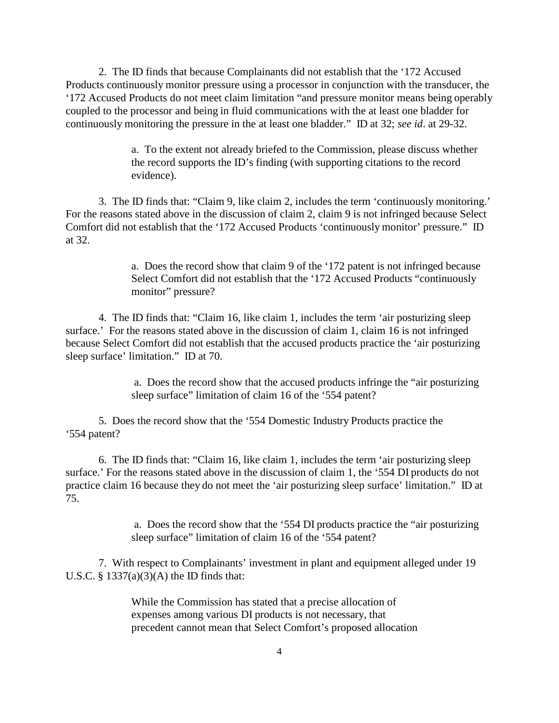2. The ID finds that because Complainants did not establish that the '172 Accused Products continuously monitor pressure using a processor in conjunction with the transducer, the '172 Accused Products do not meet claim limitation "and pressure monitor means being operably coupled to the processor and being in fluid communications with the at least one bladder for continuously monitoring the pressure in the at least one bladder." ID at 32; *see id*. at 29-32.

> a. To the extent not already briefed to the Commission, please discuss whether the record supports the ID's finding (with supporting citations to the record evidence).

3. The ID finds that: "Claim 9, like claim 2, includes the term 'continuously monitoring.' For the reasons stated above in the discussion of claim 2, claim 9 is not infringed because Select Comfort did not establish that the '172 Accused Products 'continuously monitor' pressure." ID at 32.

> a. Does the record show that claim 9 of the '172 patent is not infringed because Select Comfort did not establish that the '172 Accused Products "continuously monitor" pressure?

4. The ID finds that: "Claim 16, like claim 1, includes the term 'air posturizing sleep surface.' For the reasons stated above in the discussion of claim 1, claim 16 is not infringed because Select Comfort did not establish that the accused products practice the 'air posturizing sleep surface' limitation." ID at 70.

> a. Does the record show that the accused products infringe the "air posturizing sleep surface" limitation of claim 16 of the '554 patent?

5. Does the record show that the '554 Domestic Industry Products practice the '554 patent?

6. The ID finds that: "Claim 16, like claim 1, includes the term 'air posturizing sleep surface.' For the reasons stated above in the discussion of claim 1, the '554 DI products do not practice claim 16 because they do not meet the 'air posturizing sleep surface' limitation." ID at 75.

> a. Does the record show that the '554 DI products practice the "air posturizing sleep surface" limitation of claim 16 of the '554 patent?

7. With respect to Complainants' investment in plant and equipment alleged under 19 U.S.C.  $\S$  1337(a)(3)(A) the ID finds that:

> While the Commission has stated that a precise allocation of expenses among various DI products is not necessary, that precedent cannot mean that Select Comfort's proposed allocation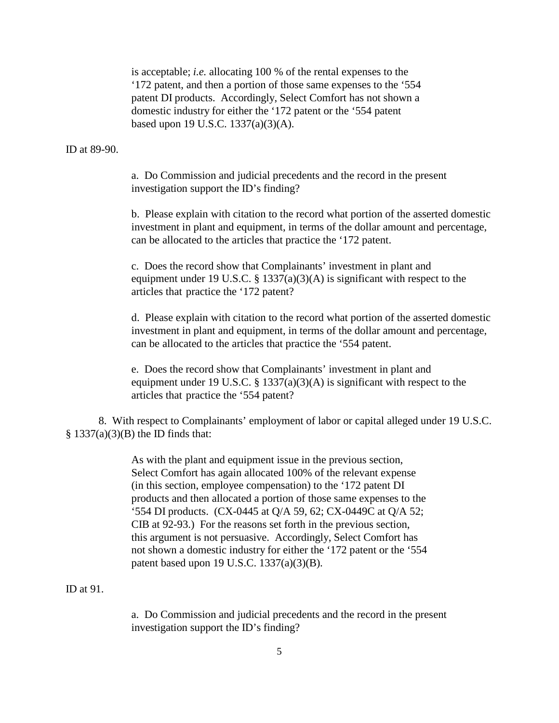is acceptable; *i.e.* allocating 100 % of the rental expenses to the '172 patent, and then a portion of those same expenses to the '554 patent DI products. Accordingly, Select Comfort has not shown a domestic industry for either the '172 patent or the '554 patent based upon 19 U.S.C. 1337(a)(3)(A).

#### ID at 89-90.

a. Do Commission and judicial precedents and the record in the present investigation support the ID's finding?

b. Please explain with citation to the record what portion of the asserted domestic investment in plant and equipment, in terms of the dollar amount and percentage, can be allocated to the articles that practice the '172 patent.

c. Does the record show that Complainants' investment in plant and equipment under 19 U.S.C. § 1337(a)(3)(A) is significant with respect to the articles that practice the '172 patent?

d. Please explain with citation to the record what portion of the asserted domestic investment in plant and equipment, in terms of the dollar amount and percentage, can be allocated to the articles that practice the '554 patent.

e. Does the record show that Complainants' investment in plant and equipment under 19 U.S.C.  $\S$  1337(a)(3)(A) is significant with respect to the articles that practice the '554 patent?

8. With respect to Complainants' employment of labor or capital alleged under 19 U.S.C.  $§ 1337(a)(3)(B)$  the ID finds that:

> As with the plant and equipment issue in the previous section, Select Comfort has again allocated 100% of the relevant expense (in this section, employee compensation) to the '172 patent DI products and then allocated a portion of those same expenses to the '554 DI products. (CX-0445 at Q/A 59, 62; CX-0449C at Q/A 52; CIB at 92-93.) For the reasons set forth in the previous section, this argument is not persuasive. Accordingly, Select Comfort has not shown a domestic industry for either the '172 patent or the '554 patent based upon 19 U.S.C. 1337(a)(3)(B).

#### ID at 91.

a. Do Commission and judicial precedents and the record in the present investigation support the ID's finding?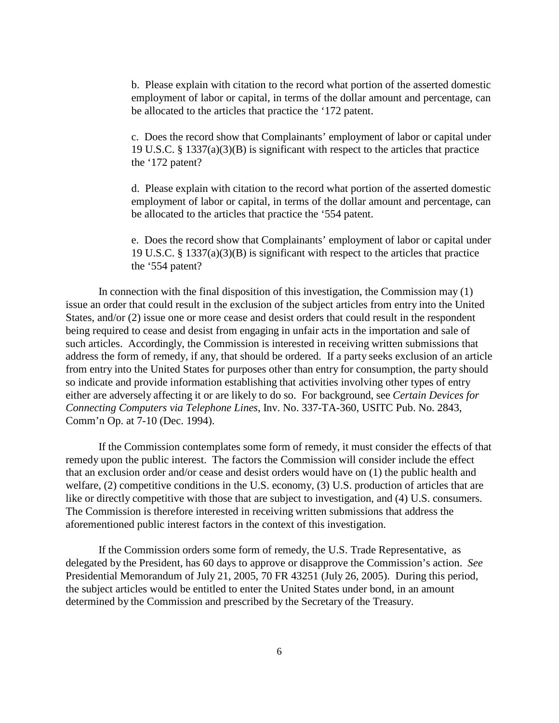b. Please explain with citation to the record what portion of the asserted domestic employment of labor or capital, in terms of the dollar amount and percentage, can be allocated to the articles that practice the '172 patent.

c. Does the record show that Complainants' employment of labor or capital under 19 U.S.C. § 1337(a)(3)(B) is significant with respect to the articles that practice the '172 patent?

d. Please explain with citation to the record what portion of the asserted domestic employment of labor or capital, in terms of the dollar amount and percentage, can be allocated to the articles that practice the '554 patent.

e. Does the record show that Complainants' employment of labor or capital under 19 U.S.C. § 1337(a)(3)(B) is significant with respect to the articles that practice the '554 patent?

In connection with the final disposition of this investigation, the Commission may (1) issue an order that could result in the exclusion of the subject articles from entry into the United States, and/or (2) issue one or more cease and desist orders that could result in the respondent being required to cease and desist from engaging in unfair acts in the importation and sale of such articles. Accordingly, the Commission is interested in receiving written submissions that address the form of remedy, if any, that should be ordered. If a party seeks exclusion of an article from entry into the United States for purposes other than entry for consumption, the party should so indicate and provide information establishing that activities involving other types of entry either are adversely affecting it or are likely to do so. For background, see *Certain Devices for Connecting Computers via Telephone Lines*, Inv. No. 337-TA-360, USITC Pub. No. 2843, Comm'n Op. at 7-10 (Dec. 1994).

If the Commission contemplates some form of remedy, it must consider the effects of that remedy upon the public interest. The factors the Commission will consider include the effect that an exclusion order and/or cease and desist orders would have on (1) the public health and welfare, (2) competitive conditions in the U.S. economy, (3) U.S. production of articles that are like or directly competitive with those that are subject to investigation, and (4) U.S. consumers. The Commission is therefore interested in receiving written submissions that address the aforementioned public interest factors in the context of this investigation.

If the Commission orders some form of remedy, the U.S. Trade Representative, as delegated by the President, has 60 days to approve or disapprove the Commission's action. *See* Presidential Memorandum of July 21, 2005, 70 FR 43251 (July 26, 2005). During this period, the subject articles would be entitled to enter the United States under bond, in an amount determined by the Commission and prescribed by the Secretary of the Treasury.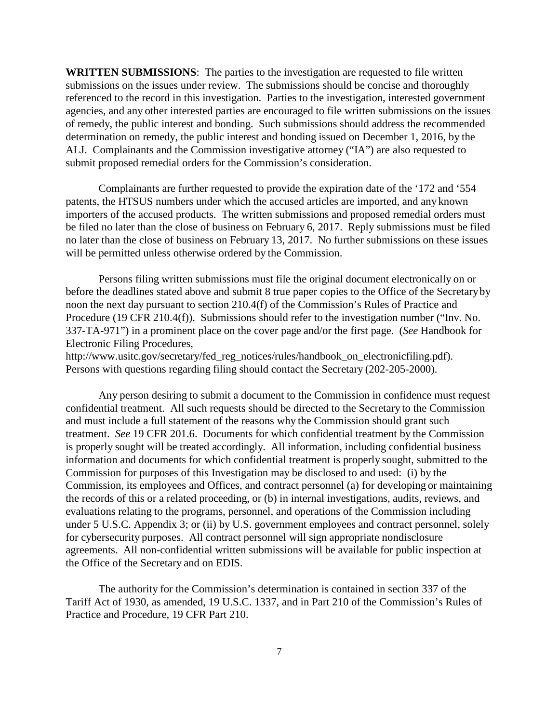**WRITTEN SUBMISSIONS**: The parties to the investigation are requested to file written submissions on the issues under review. The submissions should be concise and thoroughly referenced to the record in this investigation. Parties to the investigation, interested government agencies, and any other interested parties are encouraged to file written submissions on the issues of remedy, the public interest and bonding. Such submissions should address the recommended determination on remedy, the public interest and bonding issued on December 1, 2016, by the ALJ. Complainants and the Commission investigative attorney ("IA") are also requested to submit proposed remedial orders for the Commission's consideration.

Complainants are further requested to provide the expiration date of the '172 and '554 patents, the HTSUS numbers under which the accused articles are imported, and any known importers of the accused products. The written submissions and proposed remedial orders must be filed no later than the close of business on February 6, 2017. Reply submissions must be filed no later than the close of business on February 13, 2017. No further submissions on these issues will be permitted unless otherwise ordered by the Commission.

Persons filing written submissions must file the original document electronically on or before the deadlines stated above and submit 8 true paper copies to the Office of the Secretaryby noon the next day pursuant to section 210.4(f) of the Commission's Rules of Practice and Procedure (19 CFR 210.4(f)). Submissions should refer to the investigation number ("Inv. No. 337-TA-971") in a prominent place on the cover page and/or the first page. (*See* Handbook for Electronic Filing Procedures[,](http://www.usitc.gov/secretary/fed_reg_notices/rules/handbook_on_electronicfiling.pdf))

[http://www.usitc.gov/secretary/fed\\_reg\\_notices/rules/handbook\\_on\\_electronicfiling.pdf\).](http://www.usitc.gov/secretary/fed_reg_notices/rules/handbook_on_electronicfiling.pdf)) Persons with questions regarding filing should contact the Secretary (202-205-2000).

Any person desiring to submit a document to the Commission in confidence must request confidential treatment. All such requests should be directed to the Secretary to the Commission and must include a full statement of the reasons why the Commission should grant such treatment. *See* 19 CFR 201.6. Documents for which confidential treatment by the Commission is properly sought will be treated accordingly. All information, including confidential business information and documents for which confidential treatment is properly sought, submitted to the Commission for purposes of this Investigation may be disclosed to and used: (i) by the Commission, its employees and Offices, and contract personnel (a) for developing or maintaining the records of this or a related proceeding, or (b) in internal investigations, audits, reviews, and evaluations relating to the programs, personnel, and operations of the Commission including under 5 U.S.C. Appendix 3; or (ii) by U.S. government employees and contract personnel, solely for cybersecurity purposes. All contract personnel will sign appropriate nondisclosure agreements. All non-confidential written submissions will be available for public inspection at the Office of the Secretary and on EDIS.

The authority for the Commission's determination is contained in section 337 of the Tariff Act of 1930, as amended, 19 U.S.C. 1337, and in Part 210 of the Commission's Rules of Practice and Procedure, 19 CFR Part 210.